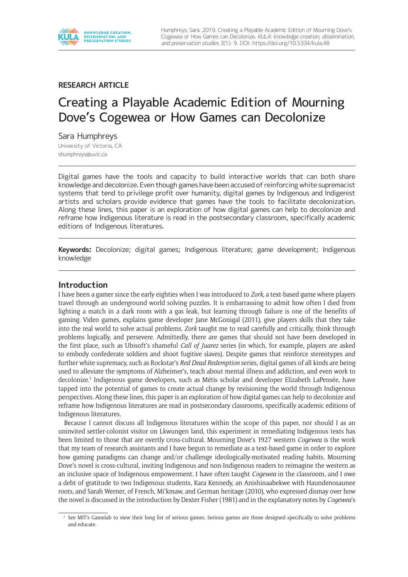

**RESEARCH ARTICLE** 

# Creating a Playable Academic Edition of Mourning Dove's Cogewea or How Games can Decolonize

Sara Humphreys University of Victoria, CA [shumphreys@uvic.ca](mailto:shumphreys@uvic.ca)

Digital games have the tools and capacity to build interactive worlds that can both share knowledge and decolonize. Even though games have been accused of reinforcing white supremacist systems that tend to privilege profit over humanity, digital games by Indigenous and Indigenist artists and scholars provide evidence that games have the tools to facilitate decolonization. Along these lines, this paper is an exploration of how digital games can help to decolonize and reframe how Indigenous literature is read in the postsecondary classroom, specifically academic editions of Indigenous literatures.

**Keywords:** Decolonize; digital games; Indigenous literature; game development; Indigenous knowledge

#### **Introduction**

I have been a gamer since the early eighties when I was introduced to *Zork*, a text-based game where players travel through an underground world solving puzzles. It is embarrassing to admit how often I died from lighting a match in a dark room with a gas leak, but learning through failure is one of the benefits of gaming. Video games, explains game developer Jane McGonigal (2011), give players skills that they take into the real world to solve actual problems. *Zork* taught me to read carefully and critically, think through problems logically, and persevere. Admittedly, there are games that should not have been developed in the first place, such as Ubisoft's shameful *Call of Juarez* series (in which, for example, players are asked to embody confederate soldiers and shoot fugitive slaves). Despite games that reinforce stereotypes and further white supremacy, such as Rockstar's *Red Dead Redemption* series, digital games of all kinds are being used to alleviate the symptoms of Alzheimer's, teach about mental illness and addiction, and even work to decolonize.<sup>1</sup> Indigenous game developers, such as Métis scholar and developer Elizabeth LaPensée, have tapped into the potential of games to create actual change by revisioning the world through Indigenous perspectives. Along these lines, this paper is an exploration of how digital games can help to decolonize and reframe how Indigenous literatures are read in postsecondary classrooms, specifically academic editions of Indigenous literatures.

Because I cannot discuss all Indigenous literatures within the scope of this paper, nor should I as an uninvited settler-colonist visitor on Lkwungen land, this experiment in remediating Indigenous texts has been limited to those that are overtly cross-cultural. Mourning Dove's 1927 western *Cogewea* is the work that my team of research assistants and I have begun to remediate as a text-based game in order to explore how gaming paradigms can change and/or challenge ideologically-motivated reading habits. Mourning Dove's novel is cross-cultural, inviting Indigenous and non-Indigenous readers to reimagine the western as an inclusive space of Indigenous empowerment. I have often taught *Cogewea* in the classroom, and I owe a debt of gratitude to two Indigenous students, Kara Kennedy, an Anishinaabekwe with Haundenosaunee roots, and Sarah Werner, of French, Mi'kmaw, and German heritage (2010), who expressed dismay over how the novel is discussed in the introduction by Dexter Fisher (1981) and in the explanatory notes by *Cogewea*'s

<sup>&</sup>lt;sup>1</sup> See MIT's [Gamelab](http://gambit.mit.edu/) to view their long list of serious games. Serious games are those designed specifically to solve problems and educate.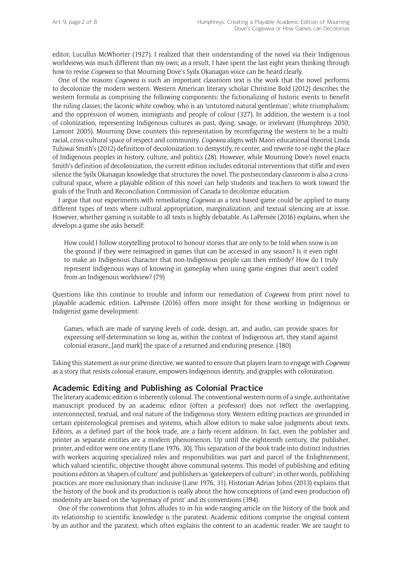editor, Lucullus McWhorter (1927). I realized that their understanding of the novel via their Indigenous worldviews was much different than my own; as a result, I have spent the last eight years thinking through how to revise *Cogewea* so that Mourning Dove's Syilx Okanagan voice can be heard clearly.

One of the reasons *Cogewea* is such an important classroom text is the work that the novel performs to decolonize the modern western. Western American literary scholar Christine Bold (2012) describes the western formula as comprising the following components: the fictionalizing of historic events to benefit the ruling classes; the laconic white cowboy, who is an 'untutored natural gentleman'; white triumphalism; and the oppression of women, immigrants and people of colour (327). In addition, the western is a tool of colonization, representing Indigenous cultures as past, dying, savage, or irrelevant (Humphreys 2010; Lamont 2005). Mourning Dove counters this representation by reconfiguring the western to be a multiracial, cross-cultural space of respect and community. *Cogewea* aligns with Maori educational theorist Linda Tuhiwai Smith's (2012) definition of decolonization: to demystify, re-center, and rewrite to re-right the place of Indigenous peoples in history, culture, and politics (28). However, while Mourning Dove's novel enacts Smith's definition of decolonization, the current edition includes editorial interventions that stifle and even silence the Syilx Okanagan knowledge that structures the novel. The postsecondary classroom is also a crosscultural space, where a playable edition of this novel can help students and teachers to work toward the goals of the Truth and Reconciliation Commission of Canada to decolonize education.

I argue that our experiments with remediating *Cogewea* as a text-based game could be applied to many different types of texts where cultural appropriation, marginalization, and textual silencing are at issue. However, whether gaming is suitable to all texts is highly debatable. As LaPensée (2016) explains, when she develops a game she asks herself:

How could I follow storytelling protocol to honour stories that are only to be told when snow is on the ground if they were reimagined in games that can be accessed in any season? Is it even right to make an Indigenous character that non-Indigenous people can then embody? How do I truly represent Indigenous ways of knowing in gameplay when using game engines that aren't coded from an Indigenous worldview? (79)

Questions like this continue to trouble and inform our remediation of *Cogewea* from print novel to playable academic edition. LaPensée (2016) offers more insight for those working in Indigenous or Indigenist game development:

Games, which are made of varying levels of code, design, art, and audio, can provide spaces for expressing self-determination so long as, within the context of Indigenous art, they stand against colonial erasure…[and mark] the space of a returned and enduring presence. (180)

Taking this statement as our prime directive, we wanted to ensure that players learn to engage with *Cogewea* as a story that resists colonial erasure, empowers Indigenous identity, and grapples with colonization.

#### **Academic Editing and Publishing as Colonial Practice**

The literary academic edition is inherently colonial. The conventional western norm of a single, authoritative manuscript produced by an academic editor (often a professor) does not reflect the overlapping, interconnected, textual, and oral nature of the Indigenous story. Western editing practices are grounded in certain epistemological premises and systems, which allow editors to make value judgments about texts. Editors, as a defined part of the book trade, are a fairly recent addition. In fact, even the publisher and printer as separate entities are a modern phenomenon. Up until the eighteenth century, the publisher, printer, and editor were one entity (Lane 1976, 30). This separation of the book trade into distinct industries with workers acquiring specialized roles and responsibilities was part and parcel of the Enlightenment, which valued scientific, objective thought above communal systems. This model of publishing and editing positions editors as 'shapers of culture' and publishers as 'gatekeepers of culture'; in other words, publishing practices are more exclusionary than inclusive (Lane 1976, 31). Historian Adrian Johns (2013) explains that the history of the book and its production is really about the how conceptions of (and even production of) modernity are based on the 'supremacy of print' and its conventions (394).

One of the conventions that Johns alludes to in his wide-ranging article on the history of the book and its relationship to scientific knowledge is the paratext. Academic editions comprise the original content by an author and the paratext, which often explains the content to an academic reader. We are taught to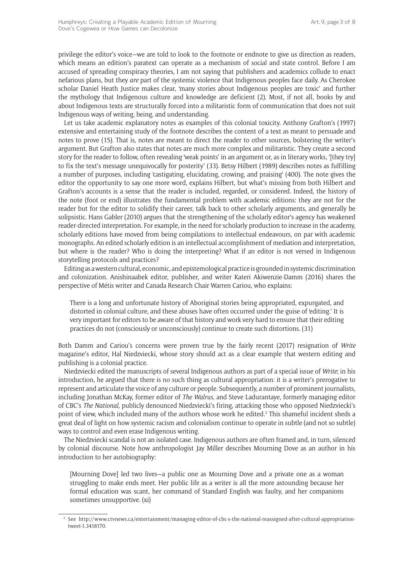privilege the editor's voice—we are told to look to the footnote or endnote to give us direction as readers, which means an edition's paratext can operate as a mechanism of social and state control. Before I am accused of spreading conspiracy theories, I am not saying that publishers and academics collude to enact nefarious plans, but they *are* part of the systemic violence that Indigenous peoples face daily. As Cherokee scholar Daniel Heath Justice makes clear, 'many stories about Indigenous peoples are toxic' and further the mythology that Indigenous culture and knowledge are deficient (2). Most, if not all, books by and about Indigenous texts are structurally forced into a militaristic form of communication that does not suit Indigenous ways of writing, being, and understanding.

Let us take academic explanatory notes as examples of this colonial toxicity. Anthony Grafton's (1997) extensive and entertaining study of the footnote describes the content of a text as meant to persuade and notes to prove (15). That is, notes are meant to direct the reader to other sources, bolstering the writer's argument. But Grafton also states that notes are much more complex and militaristic. They create a second story for the reader to follow, often revealing 'weak points' in an argument or, as in literary works, '[they try] to fix the text's message unequivocally for posterity' (33). Betsy Hilbert (1989) describes notes as fulfilling a number of purposes, including 'castigating, elucidating, crowing, and praising' (400). The note gives the editor the opportunity to say one more word, explains Hilbert, but what's missing from both Hilbert and Grafton's accounts is a sense that the reader is included, regarded, or considered. Indeed, the history of the note (foot or end) illustrates the fundamental problem with academic editions: they are not for the reader but for the editor to solidify their career, talk back to other scholarly arguments, and generally be solipsistic. Hans Gabler (2010) argues that the strengthening of the scholarly editor's agency has weakened reader-directed interpretation. For example, in the need for scholarly production to increase in the academy, scholarly editions have moved from being compilations to intellectual endeavours, on par with academic monographs. An edited scholarly edition is an intellectual accomplishment of mediation and interpretation, but where is the reader? Who is doing the interpreting? What if an editor is not versed in Indigenous storytelling protocols and practices?

Editing as a western cultural, economic, and epistemological practice is grounded in systemic discrimination and colonization. Anishinaabek editor, publisher, and writer Kateri Akiwenzie-Damm (2016) shares the perspective of Métis writer and Canada Research Chair Warren Cariou, who explains:

There is a long and unfortunate history of Aboriginal stories being appropriated, expurgated, and distorted in colonial culture, and these abuses have often occurred under the guise of 'editing.' It is very important for editors to be aware of that history and work very hard to ensure that their editing practices do not (consciously or unconsciously) continue to create such distortions. (31)

Both Damm and Cariou's concerns were proven true by the fairly recent (2017) resignation of *Write* magazine's editor, Hal Niedzviecki, whose story should act as a clear example that western editing and publishing is a colonial practice.

Niedzviecki edited the manuscripts of several Indigenous authors as part of a special issue of *Write*; in his introduction, he argued that there is no such thing as cultural appropriation: it is a writer's prerogative to represent and articulate the voice of any culture or people. Subsequently, a number of prominent journalists, including Jonathan McKay, former editor of *The Walrus*, and Steve Ladurantaye, formerly managing editor of CBC's *The National*, publicly denounced Niedzviecki's firing, attacking those who opposed Niedzviecki's point of view, which included many of the authors whose work he edited.2 This shameful incident sheds a great deal of light on how systemic racism and colonialism continue to operate in subtle (and not so subtle) ways to control and even erase Indigenous writing.

The Niedzviecki scandal is not an isolated case. Indigenous authors are often framed and, in turn, silenced by colonial discourse. Note how anthropologist Jay Miller describes Mourning Dove as an author in his introduction to her autobiography:

[Mourning Dove] led two lives—a public one as Mourning Dove and a private one as a woman struggling to make ends meet. Her public life as a writer is all the more astounding because her formal education was scant, her command of Standard English was faulty, and her companions sometimes unsupportive. (xi)

<sup>2</sup> See [http://www.ctvnews.ca/entertainment/managing-editor-of-cbc-s-the-national-reassigned-after-cultural-appropriation](http://www.ctvnews.ca/entertainment/managing-editor-of-cbc-s-the-national-reassigned-after-cultural-appropriation-tweet-1.3418170)[tweet-1.3418170](http://www.ctvnews.ca/entertainment/managing-editor-of-cbc-s-the-national-reassigned-after-cultural-appropriation-tweet-1.3418170).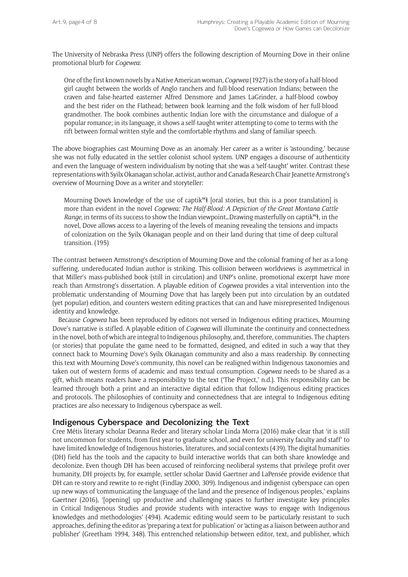The University of Nebraska Press (UNP) offers the following description of Mourning Dove in their online promotional blurb for *Cogewea*:

One of the first known novels by a Native American woman, *Cogewea* (1927) is the story of a half-blood girl caught between the worlds of Anglo ranchers and full-blood reservation Indians; between the craven and false-hearted easterner Alfred Densmore and James LaGrinder, a half-blood cowboy and the best rider on the Flathead; between book learning and the folk wisdom of her full-blood grandmother. The book combines authentic Indian lore with the circumstance and dialogue of a popular romance; in its language, it shows a self-taught writer attempting to come to terms with the rift between formal written style and the comfortable rhythms and slang of familiar speech.

The above biographies cast Mourning Dove as an anomaly. Her career as a writer is 'astounding,' because she was not fully educated in the settler colonist school system. UNP engages a discourse of authenticity and even the language of western individualism by noting that she was a 'self-taught' writer. Contrast these representations with Syilx Okanagan scholar, activist, author and Canada Research Chair Jeanette Armstrong's overview of Mourning Dove as a writer and storyteller:

Mourning Dove's knowledge of the use of captik<sup>w</sup>ł [oral stories, but this is a poor translation] is more than evident in the novel *Cogewea: The Half-Blood: A Depiction of the Great Montana Cattle Range*, in terms of its success to show the Indian viewpoint...Drawing masterfully on captik<sup>w</sup>ł, in the novel, Dove allows access to a layering of the levels of meaning revealing the tensions and impacts of colonization on the Syilx Okanagan people and on their land during that time of deep cultural transition. (195)

The contrast between Armstrong's description of Mourning Dove and the colonial framing of her as a longsuffering, undereducated Indian author is striking. This collision between worldviews is asymmetrical in that Miller's mass-published book (still in circulation) and UNP's online, promotional excerpt have more reach than Armstrong's dissertation. A playable edition of *Cogewea* provides a vital intervention into the problematic understanding of Mourning Dove that has largely been put into circulation by an outdated (yet popular) edition, and counters western editing practices that can and have misrepresented Indigenous identity and knowledge.

Because *Cogewea* has been reproduced by editors not versed in Indigenous editing practices, Mourning Dove's narrative is stifled. A playable edition of *Cogewea* will illuminate the continuity and connectedness in the novel, both of which are integral to Indigenous philosophy, and, therefore, communities. The chapters (or stories) that populate the game need to be formatted, designed, and edited in such a way that they connect back to Mourning Dove's Syilx Okanagan community and also a mass readership. By connecting this text with Mourning Dove's community, this novel can be realigned within Indigenous taxonomies and taken out of western forms of academic and mass textual consumption. *Cogewea* needs to be shared as a gift, which means readers have a responsibility to the text ('The Project,' n.d.). This responsibility can be learned through both a print and an interactive digital edition that follow Indigenous editing practices and protocols. The philosophies of continuity and connectedness that are integral to Indigenous editing practices are also necessary to Indigenous cyberspace as well.

### **Indigenous Cyberspace and Decolonizing the Text**

Cree Métis literary scholar Deanna Reder and literary scholar Linda Morra (2016) make clear that 'it is still not uncommon for students, from first year to graduate school, and even for university faculty and staff' to have limited knowledge of Indigenous histories, literatures, and social contexts (439). The digital humanities (DH) field has the tools and the capacity to build interactive worlds that can both share knowledge and decolonize. Even though DH has been accused of reinforcing neoliberal systems that privilege profit over humanity, DH projects by, for example, settler scholar David Gaertner and LaPensée provide evidence that DH can re-story and rewrite to re-right (Findlay 2000, 309). Indigenous and indigenist cyberspace can open up new ways of 'communicating the language of the land and the presence of Indigenous peoples,' explains Gaertner (2016), '[opening] up productive and challenging spaces to further investigate key principles in Critical Indigenous Studies and provide students with interactive ways to engage with Indigenous knowledges and methodologies' (494). Academic editing would seem to be particularly resistant to such approaches, defining the editor as 'preparing a text for publication' or 'acting as a liaison between author and publisher' (Greetham 1994, 348). This entrenched relationship between editor, text, and publisher, which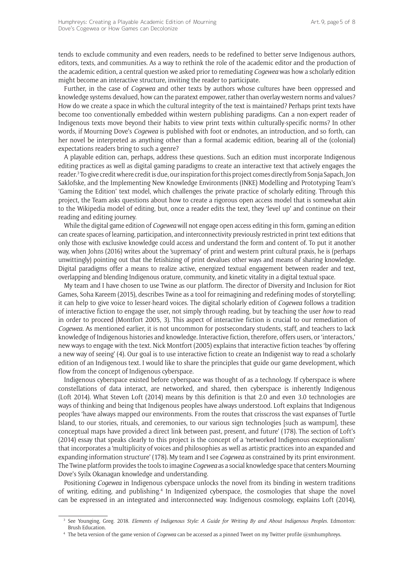tends to exclude community and even readers, needs to be redefined to better serve Indigenous authors, editors, texts, and communities. As a way to rethink the role of the academic editor and the production of the academic edition, a central question we asked prior to remediating *Cogewea* was how a scholarly edition might become an interactive structure, inviting the reader to participate.

Further, in the case of *Cogewea* and other texts by authors whose cultures have been oppressed and knowledge systems devalued, how can the paratext empower, rather than overlay western norms and values? How do we create a space in which the cultural integrity of the text is maintained? Perhaps print texts have become too conventionally embedded within western publishing paradigms. Can a non-expert reader of Indigenous texts move beyond their habits to view print texts within culturally-specific norms? In other words, if Mourning Dove's *Cogewea* is published with foot or endnotes, an introduction, and so forth, can her novel be interpreted as anything other than a formal academic edition, bearing all of the (colonial) expectations readers bring to such a genre?

A playable edition can, perhaps, address these questions. Such an edition must incorporate Indigenous editing practices as well as digital gaming paradigms to create an interactive text that actively engages the reader.3 To give credit where credit is due, our inspiration for this project comes directly from Sonja Sapach, Jon Saklofske, and the Implementing New Knowledge Environments (INKE) Modelling and Prototyping Team's 'Gaming the Edition' text model, which challenges the private practice of scholarly editing. Through this project, the Team asks questions about how to create a rigorous open access model that is somewhat akin to the Wikipedia model of editing, but, once a reader edits the text, they 'level up' and continue on their reading and editing journey.

While the digital game edition of *Cogewea* will not engage open access editing in this form, gaming an edition can create spaces of learning, participation, and interconnectivity previously restricted in print text editions that only those with exclusive knowledge could access and understand the form and content of. To put it another way, when Johns (2016) writes about the 'supremacy' of print and western print cultural praxis, he is (perhaps unwittingly) pointing out that the fetishizing of print devalues other ways and means of sharing knowledge. Digital paradigms offer a means to realize active, energized textual engagement between reader and text, overlapping and blending Indigenous orature, community, and kinetic vitality in a digital textual space.

My team and I have chosen to use Twine as our platform. The director of Diversity and Inclusion for Riot Games, Soha Kareem (2015), describes Twine as a tool for reimagining and redefining modes of storytelling; it can help to give voice to lesser-heard voices. The digital scholarly edition of *Cogewea* follows a tradition of interactive fiction to engage the user, not simply through reading, but by teaching the user *how* to read in order to proceed (Montfort 2005, 3). This aspect of interactive fiction is crucial to our remediation of *Cogewea*. As mentioned earlier, it is not uncommon for postsecondary students, staff, and teachers to lack knowledge of Indigenous histories and knowledge. Interactive fiction, therefore, offers users, or 'interactors,' new ways to engage with the text. Nick Montfort (2005) explains that interactive fiction teaches 'by offering a new way of seeing' (4). Our goal is to use interactive fiction to create an Indigenist way to read a scholarly edition of an Indigenous text. I would like to share the principles that guide our game development, which flow from the concept of Indigenous cyberspace.

Indigenous cyberspace existed before cyberspace was thought of as a technology. If cyberspace is where constellations of data interact, are networked, and shared, then cyberspace is inherently Indigenous (Loft 2014). What Steven Loft (2014) means by this definition is that 2.0 and even 3.0 technologies are ways of thinking and being that Indigenous peoples have always understood. Loft explains that Indigenous peoples 'have always mapped our environments. From the routes that crisscross the vast expanses of Turtle Island, to our stories, rituals, and ceremonies, to our various sign technologies [such as wampum], these conceptual maps have provided a direct link between past, present, and future' (178). The section of Loft's (2014) essay that speaks clearly to this project is the concept of a 'networked Indigenous exceptionalism' that incorporates a 'multiplicity of voices and philosophies as well as artistic practices into an expanded and expanding information structure' (178). My team and I see *Cogewea* as constrained by its print environment. The Twine platform provides the tools to imagine *Cogewea* as a social knowledge space that centers Mourning Dove's Syilx Okanagan knowledge and understanding.

Positioning *Cogewea* in Indigenous cyberspace unlocks the novel from its binding in western traditions of writing, editing, and publishing.4 In Indigenized cyberspace, the cosmologies that shape the novel can be expressed in an integrated and interconnected way. Indigenous cosmology, explains Loft (2014),

<sup>3</sup> See Younging, Greg. 2018. *Elements of Indigenous Style: A Guide for Writing By and About Indigenous Peoples*. Edmonton: Brush Education.

<sup>4</sup> The beta version of the game version of *Cogewea* can be accessed as a pinned Tweet on my Twitter profile [@smhumphreys](https://twitter.com/smhumphreys).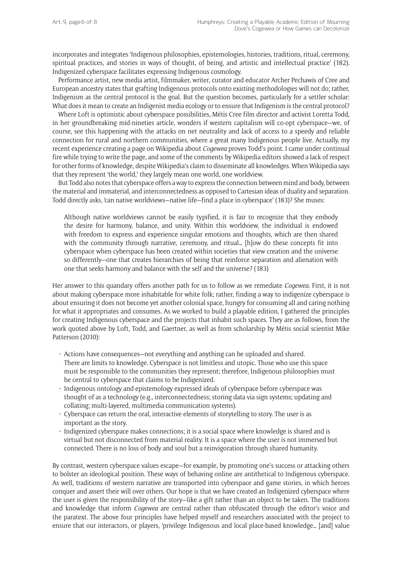incorporates and integrates 'Indigenous philosophies, epistemologies, histories, traditions, ritual, ceremony, spiritual practices, and stories in ways of thought, of being, and artistic and intellectual practice' (182). Indigenized cyberspace facilitates expressing Indigenous cosmology.

Performance artist, new media artist, filmmaker, writer, curator and educator Archer Pechawis of Cree and European ancestry states that grafting Indigenous protocols onto existing methodologies will not do; rather, Indigenism as the central protocol is the goal. But the question becomes, particularly for a settler scholar: What does it mean to create an Indigenist media ecology or to ensure that Indigenism is the central protocol?

Where Loft is optimistic about cyberspace possibilities, Métis Cree film director and activist Loretta Todd, in her groundbreaking mid-nineties article, wonders if western capitalism will co-opt cyberspace—we, of course, see this happening with the attacks on net neutrality and lack of access to a speedy and reliable connection for rural and northern communities, where a great many Indigenous people live. Actually, my recent experience creating a page on Wikipedia about *Cogewea* proves Todd's point. I came under continual fire while trying to write the page, and some of the comments by Wikipedia editors showed a lack of respect for other forms of knowledge, despite Wikipedia's claim to disseminate all knowledges. When Wikipedia says that they represent 'the world,' they largely mean one world, one worldview.

But Todd also notes that cyberspace offers a way to express the connection between mind and body, between the material and immaterial, and interconnectedness as opposed to Cartesian ideas of duality and separation. Todd directly asks, 'can native worldviews—native life—find a place in cyberspace' (183)? She muses:

Although native worldviews cannot be easily typified, it is fair to recognize that they embody the desire for harmony, balance, and unity. Within this worldview, the individual is endowed with freedom to express and experience singular emotions and thoughts, which are then shared with the community through narrative, ceremony, and ritual… [h]ow do these concepts fit into cyberspace when cyberspace has been created within societies that view creation and the universe so differently—one that creates hierarchies of being that reinforce separation and alienation with one that seeks harmony and balance with the self and the universe? (183)

Her answer to this quandary offers another path for us to follow as we remediate *Cogewea*. First, it is not about making cyberspace more inhabitable for white folk; rather, finding a way to indigenize cyberspace is about ensuring it does not become yet another colonial space, hungry for consuming all and caring nothing for what it appropriates and consumes. As we worked to build a playable edition, I gathered the principles for creating Indigenous cyberspace and the projects that inhabit such spaces. They are as follows, from the work quoted above by Loft, Todd, and Gaertner, as well as from scholarship by Métis social scientist Mike Patterson (2010):

- • Actions have consequences—not everything and anything can be uploaded and shared. There are limits to knowledge. Cyberspace is not limitless and utopic. Those who use this space must be responsible to the communities they represent; therefore, Indigenous philosophies must be central to cyberspace that claims to be Indigenized.
- • Indigenous ontology and epistemology expressed ideals of cyberspace before cyberspace was thought of as a technology (e.g., interconnectedness; storing data via sign systems; updating and collating; multi-layered, multimedia communication systems).
- $\cdot$  Cyberspace can return the oral, interactive elements of storytelling to story. The user is as important as the story.
- Indigenized cyberspace makes connections; it is a social space where knowledge is shared and is virtual but not disconnected from material reality. It is a space where the user is not immersed but connected. There is no loss of body and soul but a reinvigoration through shared humanity.

By contrast, western cyberspace values escape—for example, by promoting one's success or attacking others to bolster an ideological position. These ways of behaving online are antithetical to Indigenous cyberspace. As well, traditions of western narrative are transported into cyberspace and game stories, in which heroes conquer and assert their will over others. Our hope is that we have created an Indigenized cyberspace where the user is given the responsibility of the story—like a gift rather than an object to be taken. The traditions and knowledge that inform *Cogewea* are central rather than obfuscated through the editor's voice and the paratext. The above four principles have helped myself and researchers associated with the project to ensure that our interactors, or players, 'privilege Indigenous and local place-based knowledge… [and] value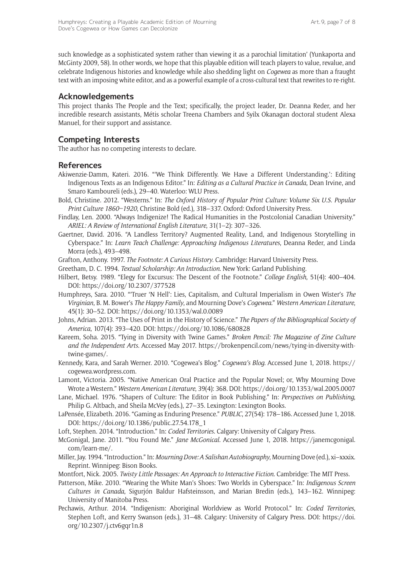such knowledge as a sophisticated system rather than viewing it as a parochial limitation' (Yunkaporta and McGinty 2009, 58). In other words, we hope that this playable edition will teach players to value, revalue, and celebrate Indigenous histories and knowledge while also shedding light on *Cogewea* as more than a fraught text with an imposing white editor, and as a powerful example of a cross-cultural text that rewrites to re-right.

### **Acknowledgements**

This project thanks [The People and the Text](http://thepeopleandthetext.ca/); specifically, the project leader, Dr. Deanna Reder, and her incredible research assistants, Métis scholar Treena Chambers and Syilx Okanagan doctoral student Alexa Manuel, for their support and assistance.

## **Competing Interests**

The author has no competing interests to declare.

### **References**

- Akiwenzie-Damm, Kateri. 2016. "'We Think Differently. We Have a Different Understanding.': Editing Indigenous Texts as an Indigenous Editor." In: *Editing as a Cultural Practice in Canada*, Dean Irvine, and Smaro Kamboureli (eds.), 29–40. Waterloo: WLU Press.
- Bold, Christine. 2012. "Westerns." In: *The Oxford History of Popular Print Culture: Volume Six U*.*S*. *Popular Print Culture 1860–1920*, Christine Bold (ed.), 318–337. Oxford: Oxford University Press.
- Findlay, Len. 2000. "Always Indigenize! The Radical Humanities in the Postcolonial Canadian University." *ARIEL: A Review of International English Literature*, 31(1–2): 307–326.
- Gaertner, David. 2016. "A Landless Territory? Augmented Reality, Land, and Indigenous Storytelling in Cyberspace." In: *Learn Teach Challenge: Approaching Indigenous Literatures*, Deanna Reder, and Linda Morra (eds.), 493–498.
- Grafton, Anthony. 1997. *The Footnote: A Curious History*. Cambridge: Harvard University Press.
- Greetham, D. C. 1994. *Textual Scholarship: An Introduction*. New York: Garland Publishing.
- Hilbert, Betsy. 1989. "Elegy for Excursus: The Descent of the Footnote." *College English*, 51(4): 400–404. DOI: <https://doi.org/10.2307/377528>
- Humphreys, Sara. 2010. "'Truer 'N Hell': Lies, Capitalism, and Cultural Imperialism in Owen Wister's *The Virginian*, B. M. Bower's *The Happy Family*, and Mourning Dove's *Cogewea*." *Western American Literature*, 45(1): 30–52. DOI:<https://doi.org/10.1353/wal.0.0089>
- Johns, Adrian. 2013. "The Uses of Print in the History of Science." *The Papers of the Bibliographical Society of America*, 107(4): 393–420. DOI: <https://doi.org/10.1086/680828>
- Kareem, Soha. 2015. "Tying in Diversity with Twine Games." *Broken Pencil: The Magazine of Zine Culture and the Independent Arts*. Accessed May 2017. [https://brokenpencil.com/news/tying-in-diversity-with](https://brokenpencil.com/news/tying-in-diversity-with-twine-games/)[twine-games/](https://brokenpencil.com/news/tying-in-diversity-with-twine-games/).
- Kennedy, Kara, and Sarah Werner. 2010. "Cogewea's Blog." *Cogewea's Blog*. Accessed June 1, 2018. [https://](https://cogewea.wordpress.com) [cogewea.wordpress.com](https://cogewea.wordpress.com).
- Lamont, Victoria. 2005. "Native American Oral Practice and the Popular Novel; or, Why Mourning Dove Wrote a Western." *Western American Literature*, 39(4): 368. DOI:<https://doi.org/10.1353/wal.2005.0007>
- Lane, Michael. 1976. "Shapers of Culture: The Editor in Book Publishing." In: *Perspectives on Publishing*, Philip G. Altbach, and Sheila McVey (eds.), 27–35. Lexington: Lexington Books.
- LaPensée, Elizabeth. 2016. "Gaming as Enduring Presence." *PUBLIC*, 27(54): 178–186. Accessed June 1, 2018. DOI: [https://doi.org/10.1386/public.27.54.178\\_1](https://doi.org/10.1386/public.27.54.178_1)
- Loft, Stephen. 2014. "Introduction." In: *Coded Territories*. Calgary: University of Calgary Press.
- McGonigal, Jane. 2011. "You Found Me." *Jane McGonical*. Accessed June 1, 2018. [https://janemcgonigal.](https://janemcgonigal.com/learn-me/) [com/learn-me/](https://janemcgonigal.com/learn-me/).
- Miller, Jay. 1994. "Introduction." In: *Mourning Dove: A Salishan Autobiography*, Mourning Dove (ed.), xi–xxxix. Reprint. Winnipeg: Bison Books.
- Montfort, Nick. 2005. *Twisty Little Passages: An Approach to Interactive Fiction*. Cambridge: The MIT Press.
- Patterson, Mike. 2010. "Wearing the White Man's Shoes: Two Worlds in Cyberspace." In: *Indigenous Screen Cultures in Canada*, Sigurjón Baldur Hafsteinsson, and Marian Bredin (eds.), 143–162. Winnipeg: University of Manitoba Press.
- Pechawis, Arthur. 2014. "Indigenism: Aboriginal Worldview as World Protocol." In: *Coded Territories*, Stephen Loft, and Kerry Swanson (eds.), 31–48. Calgary: University of Calgary Press. DOI: [https://doi.](https://doi.org/10.2307/j.ctv6gqr1n.8) [org/10.2307/j.ctv6gqr1n.8](https://doi.org/10.2307/j.ctv6gqr1n.8)